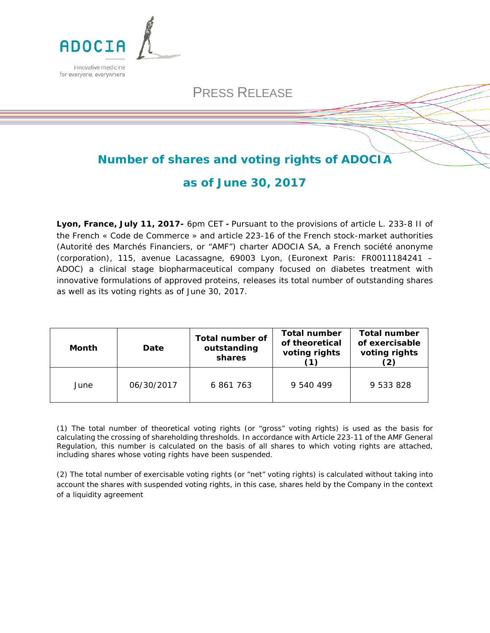

# PRESS RELEASE

## **Number of shares and voting rights of ADOCIA**

### **as of June 30, 2017**

**Lyon, France, July 11, 2017-** 6pm CET **-** Pursuant to the provisions of article L. 233-8 II of the French « Code de Commerce » and article 223-16 of the French stock-market authorities (*Autorité des Marchés Financiers*, or "AMF") charter ADOCIA SA, a French *société anonyme* (corporation), 115, avenue Lacassagne, 69003 Lyon, (Euronext Paris: FR0011184241 – ADOC) a clinical stage biopharmaceutical company focused on diabetes treatment with innovative formulations of approved proteins, releases its total number of outstanding shares as well as its voting rights as of June 30, 2017.

| <b>Month</b> | Date       | <b>Total number of</b><br>outstanding<br>shares | <b>Total number</b><br>of theoretical<br>voting rights | <b>Total number</b><br>of exercisable<br>voting rights |
|--------------|------------|-------------------------------------------------|--------------------------------------------------------|--------------------------------------------------------|
| June         | 06/30/2017 | 6 861 763                                       | 9 540 499                                              | 9 533 828                                              |

*(1) The total number of theoretical voting rights (or "gross" voting rights) is used as the basis for calculating the crossing of shareholding thresholds. In accordance with Article 223-11 of the AMF General Regulation, this number is calculated on the basis of all shares to which voting rights are attached, including shares whose voting rights have been suspended.*

*(2) The total number of exercisable voting rights (or "net" voting rights) is calculated without taking into account the shares with suspended voting rights, in this case, shares held by the Company in the context of a liquidity agreement*